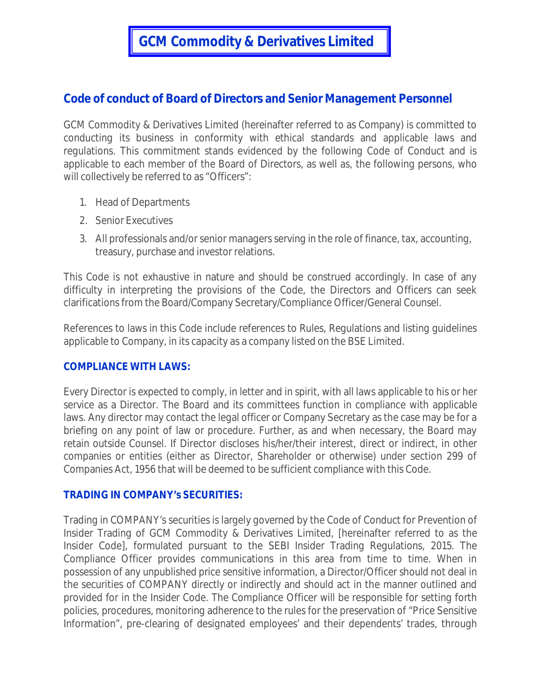# **GCM Commodity & Derivatives Limited**

## **Code of conduct of Board of Directors and Senior Management Personnel**

GCM Commodity & Derivatives Limited (hereinafter referred to as Company) is committed to conducting its business in conformity with ethical standards and applicable laws and regulations. This commitment stands evidenced by the following Code of Conduct and is applicable to each member of the Board of Directors, as well as, the following persons, who will collectively be referred to as "Officers":

- 1. Head of Departments
- 2. Senior Executives
- 3. All professionals and/or senior managers serving in the role of finance, tax, accounting, treasury, purchase and investor relations.

This Code is not exhaustive in nature and should be construed accordingly. In case of any difficulty in interpreting the provisions of the Code, the Directors and Officers can seek clarifications from the Board/Company Secretary/Compliance Officer/General Counsel.

References to laws in this Code include references to Rules, Regulations and listing guidelines applicable to Company, in its capacity as a company listed on the BSE Limited.

#### **COMPLIANCE WITH LAWS:**

Every Director is expected to comply, in letter and in spirit, with all laws applicable to his or her service as a Director. The Board and its committees function in compliance with applicable laws. Any director may contact the legal officer or Company Secretary as the case may be for a briefing on any point of law or procedure. Further, as and when necessary, the Board may retain outside Counsel. If Director discloses his/her/their interest, direct or indirect, in other companies or entities (either as Director, Shareholder or otherwise) under section 299 of Companies Act, 1956 that will be deemed to be sufficient compliance with this Code.

#### **TRADING IN COMPANY's SECURITIES:**

Trading in COMPANY's securities is largely governed by the Code of Conduct for Prevention of Insider Trading of GCM Commodity & Derivatives Limited, [hereinafter referred to as the Insider Code], formulated pursuant to the SEBI Insider Trading Regulations, 2015. The Compliance Officer provides communications in this area from time to time. When in possession of any unpublished price sensitive information, a Director/Officer should not deal in the securities of COMPANY directly or indirectly and should act in the manner outlined and provided for in the Insider Code. The Compliance Officer will be responsible for setting forth policies, procedures, monitoring adherence to the rules for the preservation of "Price Sensitive Information", pre-clearing of designated employees' and their dependents' trades, through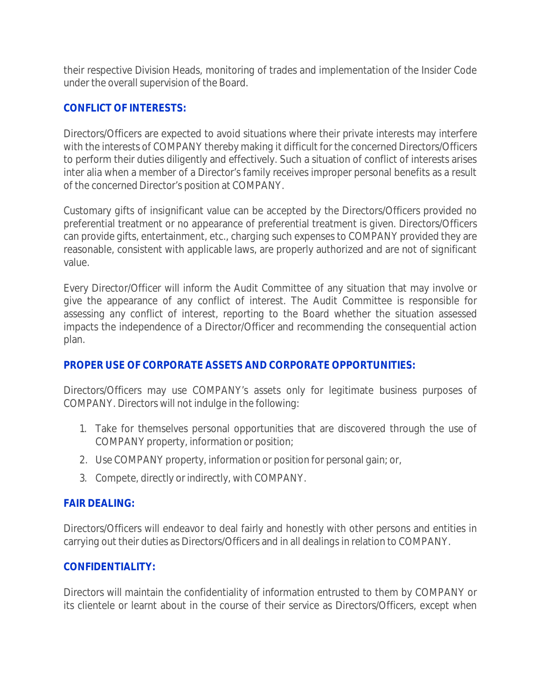their respective Division Heads, monitoring of trades and implementation of the Insider Code under the overall supervision of the Board.

## **CONFLICT OF INTERESTS:**

Directors/Officers are expected to avoid situations where their private interests may interfere with the interests of COMPANY thereby making it difficult for the concerned Directors/Officers to perform their duties diligently and effectively. Such a situation of conflict of interests arises inter alia when a member of a Director's family receives improper personal benefits as a result of the concerned Director's position at COMPANY.

Customary gifts of insignificant value can be accepted by the Directors/Officers provided no preferential treatment or no appearance of preferential treatment is given. Directors/Officers can provide gifts, entertainment, etc., charging such expenses to COMPANY provided they are reasonable, consistent with applicable laws, are properly authorized and are not of significant value.

Every Director/Officer will inform the Audit Committee of any situation that may involve or give the appearance of any conflict of interest. The Audit Committee is responsible for assessing any conflict of interest, reporting to the Board whether the situation assessed impacts the independence of a Director/Officer and recommending the consequential action plan.

## **PROPER USE OF CORPORATE ASSETS AND CORPORATE OPPORTUNITIES:**

Directors/Officers may use COMPANY's assets only for legitimate business purposes of COMPANY. Directors will not indulge in the following:

- 1. Take for themselves personal opportunities that are discovered through the use of COMPANY property, information or position;
- 2. Use COMPANY property, information or position for personal gain; or,
- 3. Compete, directly or indirectly, with COMPANY.

## **FAIR DEALING:**

Directors/Officers will endeavor to deal fairly and honestly with other persons and entities in carrying out their duties as Directors/Officers and in all dealings in relation to COMPANY.

## **CONFIDENTIALITY:**

Directors will maintain the confidentiality of information entrusted to them by COMPANY or its clientele or learnt about in the course of their service as Directors/Officers, except when